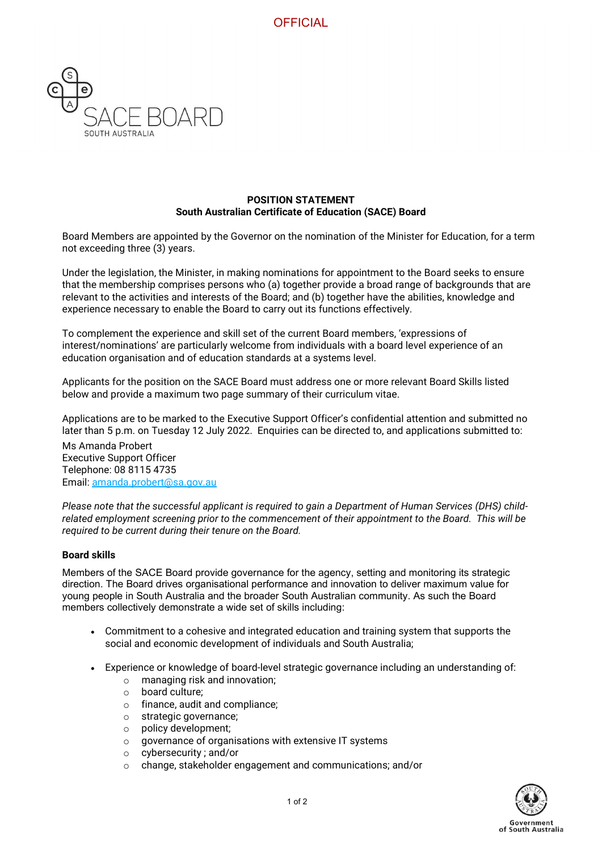

## **POSITION STATEMENT South Australian Certificate of Education (SACE) Board**

Board Members are appointed by the Governor on the nomination of the Minister for Education, for a term not exceeding three (3) years.

Under the legislation, the Minister, in making nominations for appointment to the Board seeks to ensure that the membership comprises persons who (a) together provide a broad range of backgrounds that are relevant to the activities and interests of the Board; and (b) together have the abilities, knowledge and experience necessary to enable the Board to carry out its functions effectively.

To complement the experience and skill set of the current Board members, 'expressions of interest/nominations' are particularly welcome from individuals with a board level experience of an education organisation and of education standards at a systems level.

Applicants for the position on the SACE Board must address one or more relevant Board Skills listed below and provide a maximum two page summary of their curriculum vitae.

Applications are to be marked to the Executive Support Officer's confidential attention and submitted no later than 5 p.m. on Tuesday 12 July 2022. Enquiries can be directed to, and applications submitted to:

Ms Amanda Probert Executive Support Officer Telephone: 08 8115 4735 Email: [amanda.probert@sa.gov.au](mailto:amanda.probert@sa.gov.au)

*Please note that the successful applicant is required to gain a Department of Human Services (DHS) childrelated employment screening prior to the commencement of their appointment to the Board. This will be required to be current during their tenure on the Board.*

## **Board skills**

Members of the SACE Board provide governance for the agency, setting and monitoring its strategic direction. The Board drives organisational performance and innovation to deliver maximum value for young people in South Australia and the broader South Australian community. As such the Board members collectively demonstrate a wide set of skills including:

- Commitment to a cohesive and integrated education and training system that supports the social and economic development of individuals and South Australia;
- Experience or knowledge of board-level strategic governance including an understanding of:
	- o managing risk and innovation;
	- $\circ$  board culture;<br> $\circ$  finance audit
	- finance, audit and compliance:
	- o strategic governance;
	- o policy development;
	- o governance of organisations with extensive IT systems
	- o cybersecurity ; and/or
	- o change, stakeholder engagement and communications; and/or